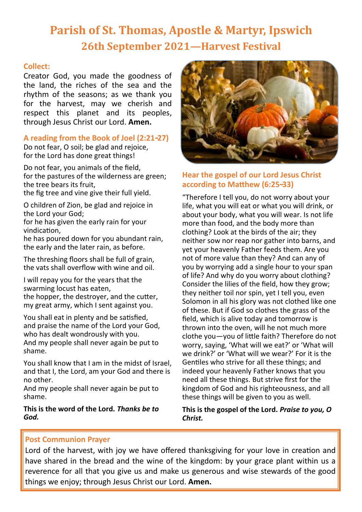# **Parish of St. Thomas, Apostle & Martyr, Ipswich 26th September 2021—Harvest Festival**

## **Collect:**

Creator God, you made the goodness of the land, the riches of the sea and the rhythm of the seasons; as we thank you for the harvest, may we cherish and respect this planet and its peoples, through Jesus Christ our Lord. **Amen.**

# **A reading from the Book of Joel (2:21-27)**

Do not fear, O soil; be glad and rejoice, for the Lord has done great things!

Do not fear, you animals of the field, for the pastures of the wilderness are green; the tree bears its fruit,

the fig tree and vine give their full yield.

O children of Zion, be glad and rejoice in the Lord your God;

for he has given the early rain for your vindication,

he has poured down for you abundant rain, the early and the later rain, as before.

The threshing floors shall be full of grain, the vats shall overflow with wine and oil.

I will repay you for the years that the swarming locust has eaten, the hopper, the destroyer, and the cutter, my great army, which I sent against you.

You shall eat in plenty and be satisfied, and praise the name of the Lord your God, who has dealt wondrously with you. And my people shall never again be put to shame.

You shall know that I am in the midst of Israel, and that I, the Lord, am your God and there is no other.

And my people shall never again be put to shame.

**This is the word of the Lord.** *Thanks be to God.*



# **Hear the gospel of our Lord Jesus Christ according to Matthew (6:25-33)**

"Therefore I tell you, do not worry about your life, what you will eat or what you will drink, or about your body, what you will wear. Is not life more than food, and the body more than clothing? Look at the birds of the air; they neither sow nor reap nor gather into barns, and yet your heavenly Father feeds them. Are you not of more value than they? And can any of you by worrying add a single hour to your span of life? And why do you worry about clothing? Consider the lilies of the field, how they grow; they neither toil nor spin, yet I tell you, even Solomon in all his glory was not clothed like one of these. But if God so clothes the grass of the field, which is alive today and tomorrow is thrown into the oven, will he not much more clothe you—you of little faith? Therefore do not worry, saying, 'What will we eat?' or 'What will we drink?' or 'What will we wear?' For it is the Gentiles who strive for all these things; and indeed your heavenly Father knows that you need all these things. But strive first for the kingdom of God and his righteousness, and all these things will be given to you as well.

**This is the gospel of the Lord.** *Praise to you, O Christ.*

# **Post Communion Prayer**

Lord of the harvest, with joy we have offered thanksgiving for your love in creation and have shared in the bread and the wine of the kingdom: by your grace plant within us a reverence for all that you give us and make us generous and wise stewards of the good things we enjoy; through Jesus Christ our Lord. **Amen.**